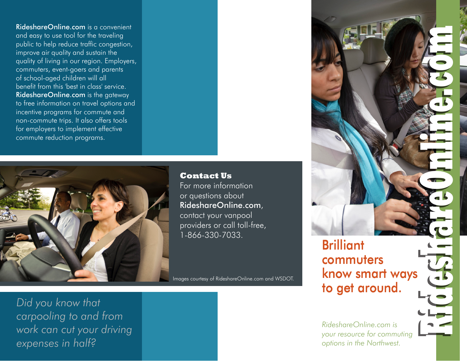RideshareOnline.com is a convenient and easy to use tool for the traveling public to help reduce traffic congestion, improve air quality and sustain the quality of living in our region. Employers, commuters, event-goers and parents of school-aged children will all benefit from this 'best in class' service. RideshareOnline.com is the gateway to free information on travel options and incentive programs for commute and non-commute trips. It also offers tools for employers to implement effective commute reduction programs.



**Contact Us** For more information or questions about RideshareOnline.com, contact your vanpool providers or call toll-free, 1-866-330-7033.

Images courtesy of RideshareOnline.com and WSDOT.

**RideshareOnline.com**

**Brilliant** commuters know smart ways to get around.

*RideshareOnline.com is your resource for commuting options in the Northwest.* 

*Did you know that carpooling to and from work can cut your driving expenses in half?*